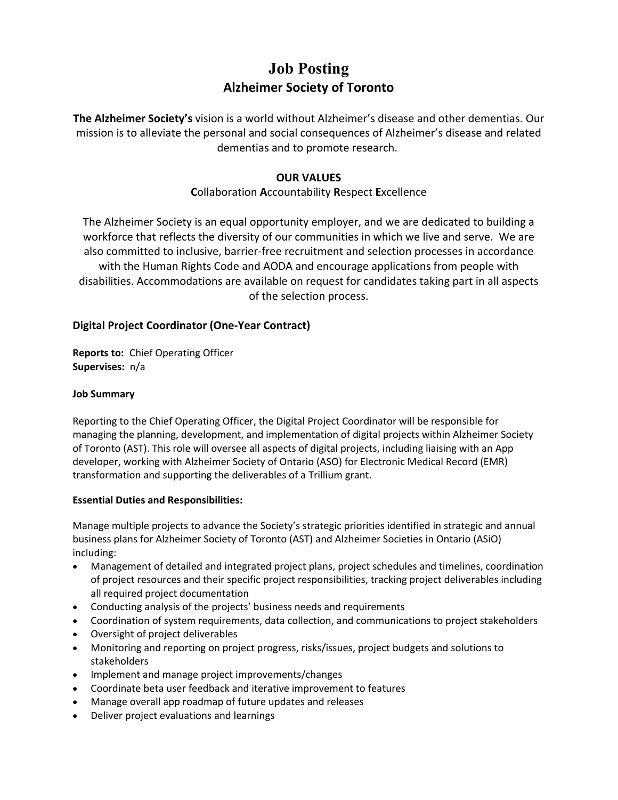## **Job Posting Alzheimer Society of Toronto**

**The Alzheimer Society's** vision is a world without Alzheimer's disease and other dementias. Our mission is to alleviate the personal and social consequences of Alzheimer's disease and related dementias and to promote research.

### **OUR VALUES**

## **C**ollaboration **A**ccountability **R**espect **E**xcellence

The Alzheimer Society is an equal opportunity employer, and we are dedicated to building a workforce that reflects the diversity of our communities in which we live and serve. We are also committed to inclusive, barrier-free recruitment and selection processes in accordance with the Human Rights Code and AODA and encourage applications from people with disabilities. Accommodations are available on request for candidates taking part in all aspects of the selection process.

## **Digital Project Coordinator (One-Year Contract)**

**Reports to:** Chief Operating Officer **Supervises:** n/a

#### **Job Summary**

Reporting to the Chief Operating Officer, the Digital Project Coordinator will be responsible for managing the planning, development, and implementation of digital projects within Alzheimer Society of Toronto (AST). This role will oversee all aspects of digital projects, including liaising with an App developer, working with Alzheimer Society of Ontario (ASO) for Electronic Medical Record (EMR) transformation and supporting the deliverables of a Trillium grant.

#### **Essential Duties and Responsibilities:**

Manage multiple projects to advance the Society's strategic priorities identified in strategic and annual business plans for Alzheimer Society of Toronto (AST) and Alzheimer Societies in Ontario (ASiO) including:

- Management of detailed and integrated project plans, project schedules and timelines, coordination of project resources and their specific project responsibilities, tracking project deliverables including all required project documentation
- Conducting analysis of the projects' business needs and requirements
- Coordination of system requirements, data collection, and communications to project stakeholders
- Oversight of project deliverables
- Monitoring and reporting on project progress, risks/issues, project budgets and solutions to stakeholders
- Implement and manage project improvements/changes
- Coordinate beta user feedback and iterative improvement to features
- Manage overall app roadmap of future updates and releases
- Deliver project evaluations and learnings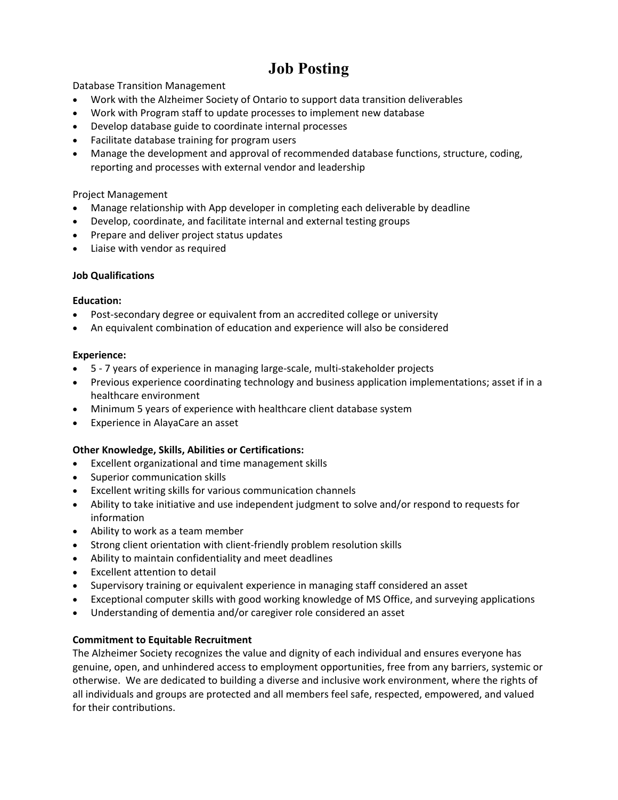# **Job Posting**

Database Transition Management

- Work with the Alzheimer Society of Ontario to support data transition deliverables
- Work with Program staff to update processes to implement new database
- Develop database guide to coordinate internal processes
- Facilitate database training for program users
- Manage the development and approval of recommended database functions, structure, coding, reporting and processes with external vendor and leadership

#### Project Management

- Manage relationship with App developer in completing each deliverable by deadline
- Develop, coordinate, and facilitate internal and external testing groups
- Prepare and deliver project status updates
- Liaise with vendor as required

#### **Job Qualifications**

#### **Education:**

- Post-secondary degree or equivalent from an accredited college or university
- An equivalent combination of education and experience will also be considered

#### **Experience:**

- 5 7 years of experience in managing large-scale, multi-stakeholder projects
- Previous experience coordinating technology and business application implementations; asset if in a healthcare environment
- Minimum 5 years of experience with healthcare client database system
- Experience in [AlayaCare an asset](https://www.alayacare.com/)

#### **Other Knowledge, Skills, Abilities or Certifications:**

- Excellent organizational and time management skills
- Superior communication skills
- Excellent writing skills for various communication channels
- Ability to take initiative and use independent judgment to solve and/or respond to requests for information
- Ability to work as a team member
- Strong client orientation with client-friendly problem resolution skills
- Ability to maintain confidentiality and meet deadlines
- Excellent attention to detail
- Supervisory training or equivalent experience in managing staff considered an asset
- Exceptional computer skills with good working knowledge of MS Office, and surveying applications
- Understanding of dementia and/or caregiver role considered an asset

#### **Commitment to Equitable Recruitment**

The Alzheimer Society recognizes the value and dignity of each individual and ensures everyone has genuine, open, and unhindered access to employment opportunities, free from any barriers, systemic or otherwise. We are dedicated to building a diverse and inclusive work environment, where the rights of all individuals and groups are protected and all members feel safe, respected, empowered, and valued for their contributions.